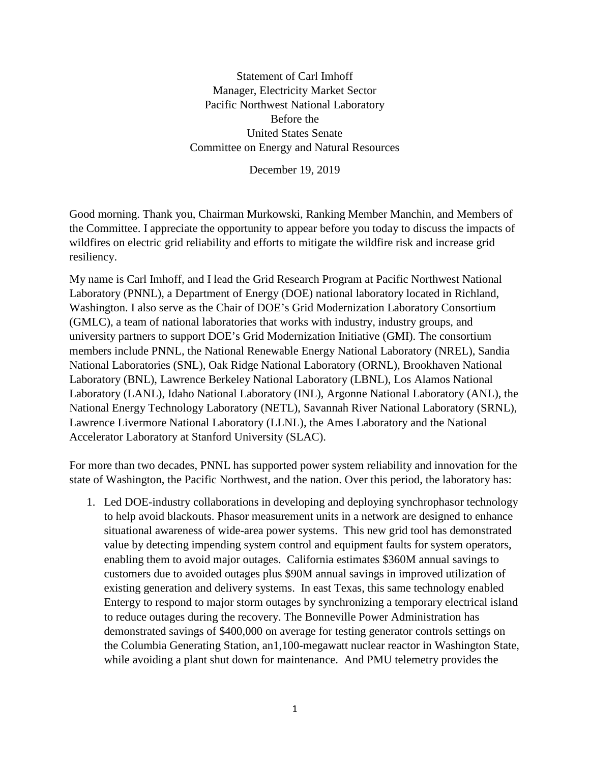Statement of Carl Imhoff Manager, Electricity Market Sector Pacific Northwest National Laboratory Before the United States Senate Committee on Energy and Natural Resources

December 19, 2019

Good morning. Thank you, Chairman Murkowski, Ranking Member Manchin, and Members of the Committee. I appreciate the opportunity to appear before you today to discuss the impacts of wildfires on electric grid reliability and efforts to mitigate the wildfire risk and increase grid resiliency.

My name is Carl Imhoff, and I lead the Grid Research Program at Pacific Northwest National Laboratory (PNNL), a Department of Energy (DOE) national laboratory located in Richland, Washington. I also serve as the Chair of DOE's Grid Modernization Laboratory Consortium (GMLC), a team of national laboratories that works with industry, industry groups, and university partners to support DOE's Grid Modernization Initiative (GMI). The consortium members include PNNL, the National Renewable Energy National Laboratory (NREL), Sandia National Laboratories (SNL), Oak Ridge National Laboratory (ORNL), Brookhaven National Laboratory (BNL), Lawrence Berkeley National Laboratory (LBNL), Los Alamos National Laboratory (LANL), Idaho National Laboratory (INL), Argonne National Laboratory (ANL), the National Energy Technology Laboratory (NETL), Savannah River National Laboratory (SRNL), Lawrence Livermore National Laboratory (LLNL), the Ames Laboratory and the National Accelerator Laboratory at Stanford University (SLAC).

For more than two decades, PNNL has supported power system reliability and innovation for the state of Washington, the Pacific Northwest, and the nation. Over this period, the laboratory has:

1. Led DOE-industry collaborations in developing and deploying synchrophasor technology to help avoid blackouts. Phasor measurement units in a network are designed to enhance situational awareness of wide-area power systems. This new grid tool has demonstrated value by detecting impending system control and equipment faults for system operators, enabling them to avoid major outages. California estimates \$360M annual savings to customers due to avoided outages plus \$90M annual savings in improved utilization of existing generation and delivery systems. In east Texas, this same technology enabled Entergy to respond to major storm outages by synchronizing a temporary electrical island to reduce outages during the recovery. The Bonneville Power Administration has demonstrated savings of \$400,000 on average for testing generator controls settings on the Columbia Generating Station, an1,100-megawatt nuclear reactor in Washington State, while avoiding a plant shut down for maintenance. And PMU telemetry provides the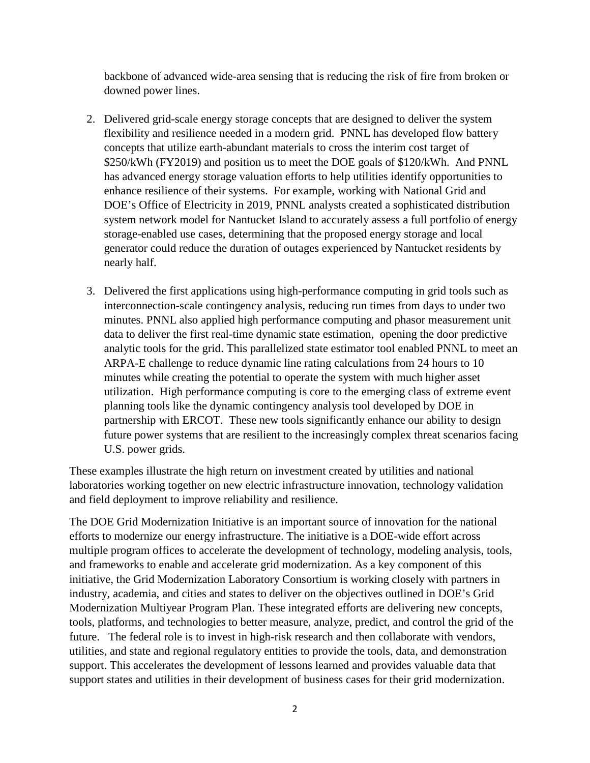backbone of advanced wide-area sensing that is reducing the risk of fire from broken or downed power lines.

- 2. Delivered grid-scale energy storage concepts that are designed to deliver the system flexibility and resilience needed in a modern grid. PNNL has developed flow battery concepts that utilize earth-abundant materials to cross the interim cost target of \$250/kWh (FY2019) and position us to meet the DOE goals of \$120/kWh. And PNNL has advanced energy storage valuation efforts to help utilities identify opportunities to enhance resilience of their systems. For example, working with National Grid and DOE's Office of Electricity in 2019, PNNL analysts created a sophisticated distribution system network model for Nantucket Island to accurately assess a full portfolio of energy storage-enabled use cases, determining that the proposed energy storage and local generator could reduce the duration of outages experienced by Nantucket residents by nearly half.
- 3. Delivered the first applications using high-performance computing in grid tools such as interconnection-scale contingency analysis, reducing run times from days to under two minutes. PNNL also applied high performance computing and phasor measurement unit data to deliver the first real-time dynamic state estimation, opening the door predictive analytic tools for the grid. This parallelized state estimator tool enabled PNNL to meet an ARPA-E challenge to reduce dynamic line rating calculations from 24 hours to 10 minutes while creating the potential to operate the system with much higher asset utilization. High performance computing is core to the emerging class of extreme event planning tools like the dynamic contingency analysis tool developed by DOE in partnership with ERCOT. These new tools significantly enhance our ability to design future power systems that are resilient to the increasingly complex threat scenarios facing U.S. power grids.

These examples illustrate the high return on investment created by utilities and national laboratories working together on new electric infrastructure innovation, technology validation and field deployment to improve reliability and resilience.

The DOE Grid Modernization Initiative is an important source of innovation for the national efforts to modernize our energy infrastructure. The initiative is a DOE-wide effort across multiple program offices to accelerate the development of technology, modeling analysis, tools, and frameworks to enable and accelerate grid modernization. As a key component of this initiative, the Grid Modernization Laboratory Consortium is working closely with partners in industry, academia, and cities and states to deliver on the objectives outlined in DOE's [Grid](http://energy.gov/downloads/grid-modernization-multi-year-program-plan-mypp)  [Modernization Multiyear Program Plan.](http://energy.gov/downloads/grid-modernization-multi-year-program-plan-mypp) These integrated efforts are delivering new concepts, tools, platforms, and technologies to better measure, analyze, predict, and control the grid of the future. The federal role is to invest in high-risk research and then collaborate with vendors, utilities, and state and regional regulatory entities to provide the tools, data, and demonstration support. This accelerates the development of lessons learned and provides valuable data that support states and utilities in their development of business cases for their grid modernization.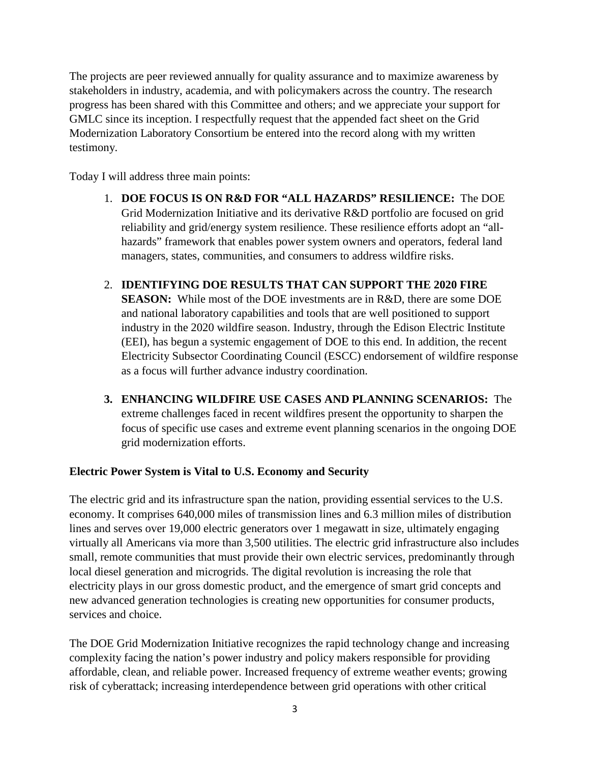The projects are peer reviewed annually for quality assurance and to maximize awareness by stakeholders in industry, academia, and with policymakers across the country. The research progress has been shared with this Committee and others; and we appreciate your support for GMLC since its inception. I respectfully request that the appended fact sheet on the Grid Modernization Laboratory Consortium be entered into the record along with my written testimony.

Today I will address three main points:

- 1. **DOE FOCUS IS ON R&D FOR "ALL HAZARDS" RESILIENCE:** The DOE Grid Modernization Initiative and its derivative R&D portfolio are focused on grid reliability and grid/energy system resilience. These resilience efforts adopt an "allhazards" framework that enables power system owners and operators, federal land managers, states, communities, and consumers to address wildfire risks.
- 2. **IDENTIFYING DOE RESULTS THAT CAN SUPPORT THE 2020 FIRE SEASON:** While most of the DOE investments are in R&D, there are some DOE and national laboratory capabilities and tools that are well positioned to support industry in the 2020 wildfire season. Industry, through the Edison Electric Institute (EEI), has begun a systemic engagement of DOE to this end. In addition, the recent Electricity Subsector Coordinating Council (ESCC) endorsement of wildfire response as a focus will further advance industry coordination.
- **3. ENHANCING WILDFIRE USE CASES AND PLANNING SCENARIOS:** The extreme challenges faced in recent wildfires present the opportunity to sharpen the focus of specific use cases and extreme event planning scenarios in the ongoing DOE grid modernization efforts.

## **Electric Power System is Vital to U.S. Economy and Security**

The electric grid and its infrastructure span the nation, providing essential services to the U.S. economy. It comprises 640,000 miles of transmission lines and 6.3 million miles of distribution lines and serves over 19,000 electric generators over 1 megawatt in size, ultimately engaging virtually all Americans via more than 3,500 utilities. The electric grid infrastructure also includes small, remote communities that must provide their own electric services, predominantly through local diesel generation and microgrids. The digital revolution is increasing the role that electricity plays in our gross domestic product, and the emergence of smart grid concepts and new advanced generation technologies is creating new opportunities for consumer products, services and choice.

The DOE Grid Modernization Initiative recognizes the rapid technology change and increasing complexity facing the nation's power industry and policy makers responsible for providing affordable, clean, and reliable power. Increased frequency of extreme weather events; growing risk of cyberattack; increasing interdependence between grid operations with other critical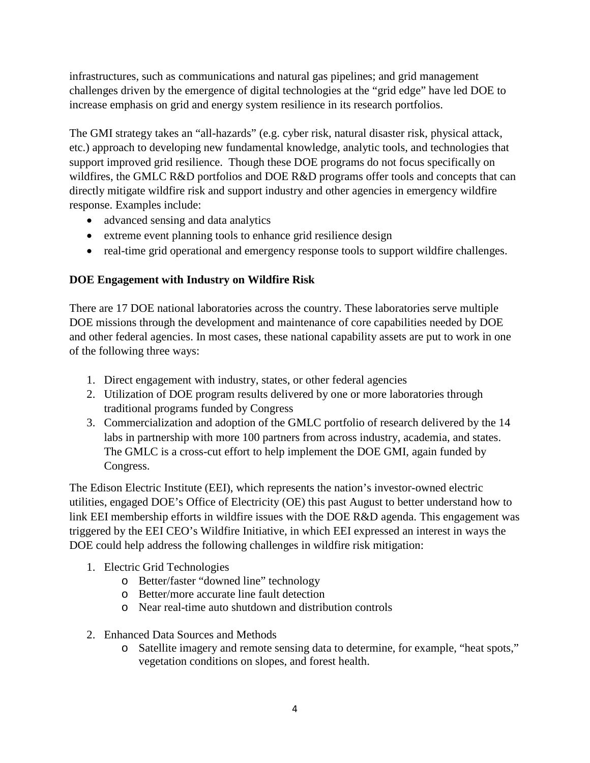infrastructures, such as communications and natural gas pipelines; and grid management challenges driven by the emergence of digital technologies at the "grid edge" have led DOE to increase emphasis on grid and energy system resilience in its research portfolios.

The GMI strategy takes an "all-hazards" (e.g. cyber risk, natural disaster risk, physical attack, etc.) approach to developing new fundamental knowledge, analytic tools, and technologies that support improved grid resilience. Though these DOE programs do not focus specifically on wildfires, the GMLC R&D portfolios and DOE R&D programs offer tools and concepts that can directly mitigate wildfire risk and support industry and other agencies in emergency wildfire response. Examples include:

- advanced sensing and data analytics
- extreme event planning tools to enhance grid resilience design
- real-time grid operational and emergency response tools to support wildfire challenges.

## **DOE Engagement with Industry on Wildfire Risk**

There are 17 DOE national laboratories across the country. These laboratories serve multiple DOE missions through the development and maintenance of core capabilities needed by DOE and other federal agencies. In most cases, these national capability assets are put to work in one of the following three ways:

- 1. Direct engagement with industry, states, or other federal agencies
- 2. Utilization of DOE program results delivered by one or more laboratories through traditional programs funded by Congress
- 3. Commercialization and adoption of the GMLC portfolio of research delivered by the 14 labs in partnership with more 100 partners from across industry, academia, and states. The GMLC is a cross-cut effort to help implement the DOE GMI, again funded by Congress.

The Edison Electric Institute (EEI), which represents the nation's investor-owned electric utilities, engaged DOE's Office of Electricity (OE) this past August to better understand how to link EEI membership efforts in wildfire issues with the DOE R&D agenda. This engagement was triggered by the EEI CEO's Wildfire Initiative, in which EEI expressed an interest in ways the DOE could help address the following challenges in wildfire risk mitigation:

- 1. Electric Grid Technologies
	- o Better/faster "downed line" technology
	- o Better/more accurate line fault detection
	- o Near real-time auto shutdown and distribution controls
- 2. Enhanced Data Sources and Methods
	- o Satellite imagery and remote sensing data to determine, for example, "heat spots," vegetation conditions on slopes, and forest health.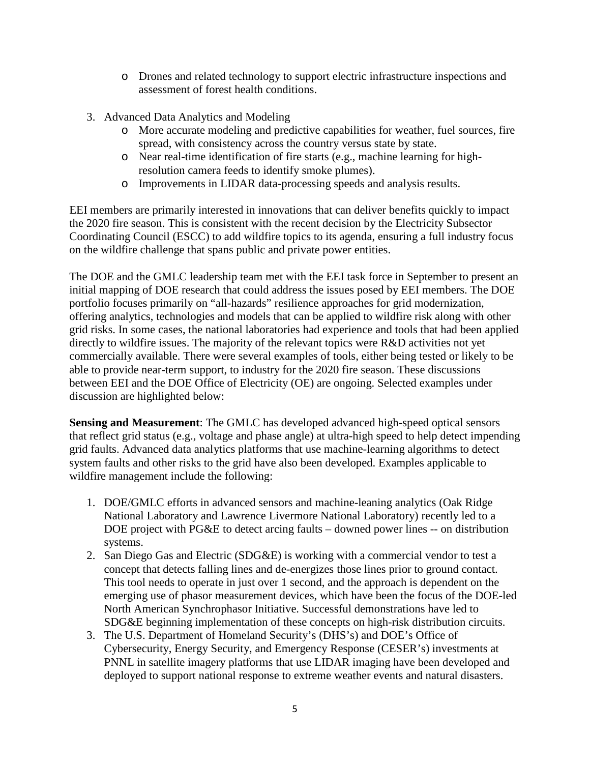- o Drones and related technology to support electric infrastructure inspections and assessment of forest health conditions.
- 3. Advanced Data Analytics and Modeling
	- o More accurate modeling and predictive capabilities for weather, fuel sources, fire spread, with consistency across the country versus state by state.
	- o Near real-time identification of fire starts (e.g., machine learning for highresolution camera feeds to identify smoke plumes).
	- o Improvements in LIDAR data-processing speeds and analysis results.

EEI members are primarily interested in innovations that can deliver benefits quickly to impact the 2020 fire season. This is consistent with the recent decision by the Electricity Subsector Coordinating Council (ESCC) to add wildfire topics to its agenda, ensuring a full industry focus on the wildfire challenge that spans public and private power entities.

The DOE and the GMLC leadership team met with the EEI task force in September to present an initial mapping of DOE research that could address the issues posed by EEI members. The DOE portfolio focuses primarily on "all-hazards" resilience approaches for grid modernization, offering analytics, technologies and models that can be applied to wildfire risk along with other grid risks. In some cases, the national laboratories had experience and tools that had been applied directly to wildfire issues. The majority of the relevant topics were R&D activities not yet commercially available. There were several examples of tools, either being tested or likely to be able to provide near-term support, to industry for the 2020 fire season. These discussions between EEI and the DOE Office of Electricity (OE) are ongoing. Selected examples under discussion are highlighted below:

**Sensing and Measurement**: The GMLC has developed advanced high-speed optical sensors that reflect grid status (e.g., voltage and phase angle) at ultra-high speed to help detect impending grid faults. Advanced data analytics platforms that use machine-learning algorithms to detect system faults and other risks to the grid have also been developed. Examples applicable to wildfire management include the following:

- 1. DOE/GMLC efforts in advanced sensors and machine-leaning analytics (Oak Ridge National Laboratory and Lawrence Livermore National Laboratory) recently led to a DOE project with PG&E to detect arcing faults – downed power lines -- on distribution systems.
- 2. San Diego Gas and Electric (SDG&E) is working with a commercial vendor to test a concept that detects falling lines and de-energizes those lines prior to ground contact. This tool needs to operate in just over 1 second, and the approach is dependent on the emerging use of phasor measurement devices, which have been the focus of the DOE-led North American Synchrophasor Initiative. Successful demonstrations have led to SDG&E beginning implementation of these concepts on high-risk distribution circuits.
- 3. The U.S. Department of Homeland Security's (DHS's) and DOE's Office of Cybersecurity, Energy Security, and Emergency Response (CESER's) investments at PNNL in satellite imagery platforms that use LIDAR imaging have been developed and deployed to support national response to extreme weather events and natural disasters.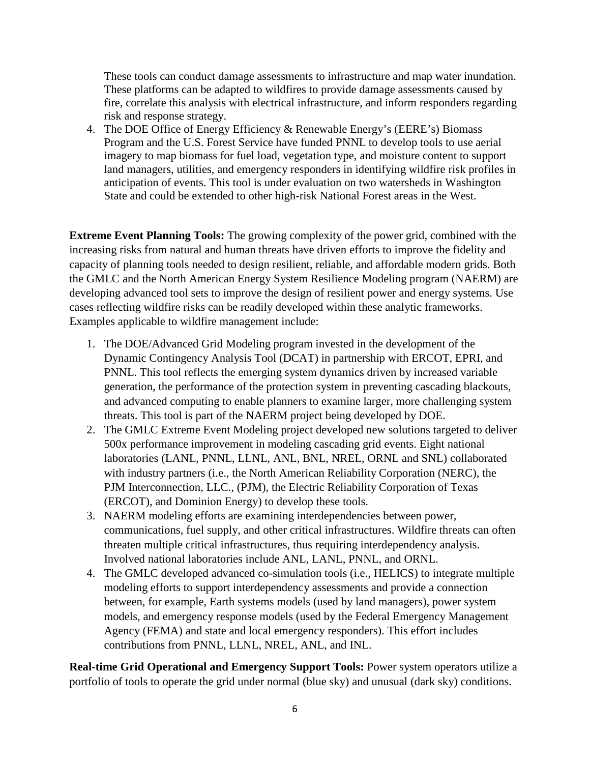These tools can conduct damage assessments to infrastructure and map water inundation. These platforms can be adapted to wildfires to provide damage assessments caused by fire, correlate this analysis with electrical infrastructure, and inform responders regarding risk and response strategy.

4. The DOE Office of Energy Efficiency & Renewable Energy's (EERE's) Biomass Program and the U.S. Forest Service have funded PNNL to develop tools to use aerial imagery to map biomass for fuel load, vegetation type, and moisture content to support land managers, utilities, and emergency responders in identifying wildfire risk profiles in anticipation of events. This tool is under evaluation on two watersheds in Washington State and could be extended to other high-risk National Forest areas in the West.

**Extreme Event Planning Tools:** The growing complexity of the power grid, combined with the increasing risks from natural and human threats have driven efforts to improve the fidelity and capacity of planning tools needed to design resilient, reliable, and affordable modern grids. Both the GMLC and the North American Energy System Resilience Modeling program (NAERM) are developing advanced tool sets to improve the design of resilient power and energy systems. Use cases reflecting wildfire risks can be readily developed within these analytic frameworks. Examples applicable to wildfire management include:

- 1. The DOE/Advanced Grid Modeling program invested in the development of the Dynamic Contingency Analysis Tool (DCAT) in partnership with ERCOT, EPRI, and PNNL. This tool reflects the emerging system dynamics driven by increased variable generation, the performance of the protection system in preventing cascading blackouts, and advanced computing to enable planners to examine larger, more challenging system threats. This tool is part of the NAERM project being developed by DOE.
- 2. The GMLC Extreme Event Modeling project developed new solutions targeted to deliver 500x performance improvement in modeling cascading grid events. Eight national laboratories (LANL, PNNL, LLNL, ANL, BNL, NREL, ORNL and SNL) collaborated with industry partners (i.e., the North American Reliability Corporation (NERC), the PJM Interconnection, LLC., (PJM), the Electric Reliability Corporation of Texas (ERCOT), and Dominion Energy) to develop these tools.
- 3. NAERM modeling efforts are examining interdependencies between power, communications, fuel supply, and other critical infrastructures. Wildfire threats can often threaten multiple critical infrastructures, thus requiring interdependency analysis. Involved national laboratories include ANL, LANL, PNNL, and ORNL.
- 4. The GMLC developed advanced co-simulation tools (i.e., HELICS) to integrate multiple modeling efforts to support interdependency assessments and provide a connection between, for example, Earth systems models (used by land managers), power system models, and emergency response models (used by the Federal Emergency Management Agency (FEMA) and state and local emergency responders). This effort includes contributions from PNNL, LLNL, NREL, ANL, and INL.

**Real-time Grid Operational and Emergency Support Tools:** Power system operators utilize a portfolio of tools to operate the grid under normal (blue sky) and unusual (dark sky) conditions.